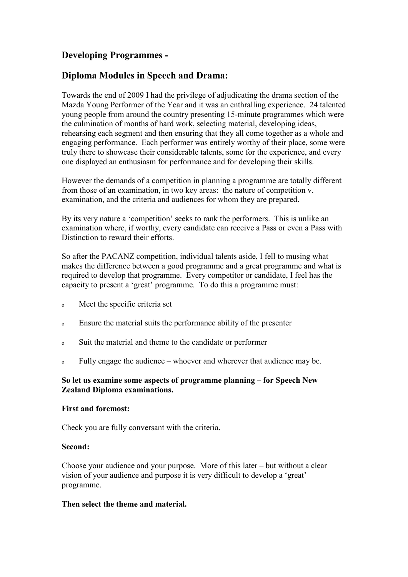# **Developing Programmes -**

# **Diploma Modules in Speech and Drama:**

Towards the end of 2009 I had the privilege of adjudicating the drama section of the Mazda Young Performer of the Year and it was an enthralling experience. 24 talented young people from around the country presenting 15-minute programmes which were the culmination of months of hard work, selecting material, developing ideas, rehearsing each segment and then ensuring that they all come together as a whole and engaging performance. Each performer was entirely worthy of their place, some were truly there to showcase their considerable talents, some for the experience, and every one displayed an enthusiasm for performance and for developing their skills.

However the demands of a competition in planning a programme are totally different from those of an examination, in two key areas: the nature of competition v. examination, and the criteria and audiences for whom they are prepared.

By its very nature a 'competition' seeks to rank the performers. This is unlike an examination where, if worthy, every candidate can receive a Pass or even a Pass with Distinction to reward their efforts.

So after the PACANZ competition, individual talents aside, I fell to musing what makes the difference between a good programme and a great programme and what is required to develop that programme. Every competitor or candidate, I feel has the capacity to present a 'great' programme. To do this a programme must:

- <sup>o</sup> Meet the specific criteria set
- <sup>o</sup> Ensure the material suits the performance ability of the presenter
- <sup>o</sup> Suit the material and theme to the candidate or performer
- <sup>o</sup> Fully engage the audience whoever and wherever that audience may be.

### **So let us examine some aspects of programme planning – for Speech New Zealand Diploma examinations.**

### **First and foremost:**

Check you are fully conversant with the criteria.

### **Second:**

Choose your audience and your purpose. More of this later – but without a clear vision of your audience and purpose it is very difficult to develop a 'great' programme.

### **Then select the theme and material.**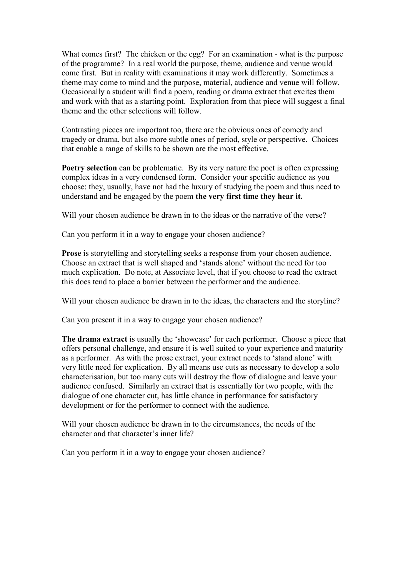What comes first? The chicken or the egg? For an examination - what is the purpose of the programme? In a real world the purpose, theme, audience and venue would come first. But in reality with examinations it may work differently. Sometimes a theme may come to mind and the purpose, material, audience and venue will follow. Occasionally a student will find a poem, reading or drama extract that excites them and work with that as a starting point. Exploration from that piece will suggest a final theme and the other selections will follow.

Contrasting pieces are important too, there are the obvious ones of comedy and tragedy or drama, but also more subtle ones of period, style or perspective. Choices that enable a range of skills to be shown are the most effective.

**Poetry selection** can be problematic. By its very nature the poet is often expressing complex ideas in a very condensed form. Consider your specific audience as you choose: they, usually, have not had the luxury of studying the poem and thus need to understand and be engaged by the poem **the very first time they hear it.** 

Will your chosen audience be drawn in to the ideas or the narrative of the verse?

Can you perform it in a way to engage your chosen audience?

**Prose** is storytelling and storytelling seeks a response from your chosen audience. Choose an extract that is well shaped and 'stands alone' without the need for too much explication. Do note, at Associate level, that if you choose to read the extract this does tend to place a barrier between the performer and the audience.

Will your chosen audience be drawn in to the ideas, the characters and the storyline?

Can you present it in a way to engage your chosen audience?

**The drama extract** is usually the 'showcase' for each performer. Choose a piece that offers personal challenge, and ensure it is well suited to your experience and maturity as a performer. As with the prose extract, your extract needs to 'stand alone' with very little need for explication. By all means use cuts as necessary to develop a solo characterisation, but too many cuts will destroy the flow of dialogue and leave your audience confused. Similarly an extract that is essentially for two people, with the dialogue of one character cut, has little chance in performance for satisfactory development or for the performer to connect with the audience.

Will your chosen audience be drawn in to the circumstances, the needs of the character and that character's inner life?

Can you perform it in a way to engage your chosen audience?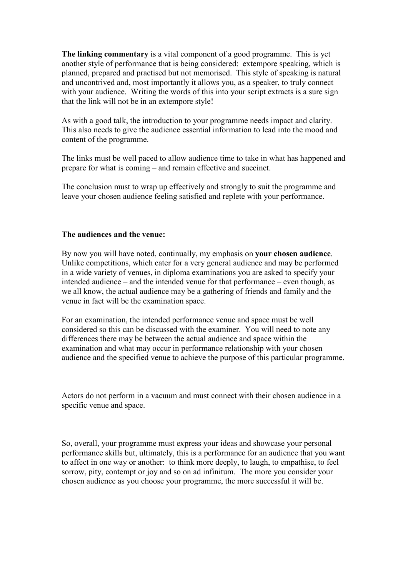**The linking commentary** is a vital component of a good programme. This is yet another style of performance that is being considered: extempore speaking, which is planned, prepared and practised but not memorised. This style of speaking is natural and uncontrived and, most importantly it allows you, as a speaker, to truly connect with your audience. Writing the words of this into your script extracts is a sure sign that the link will not be in an extempore style!

As with a good talk, the introduction to your programme needs impact and clarity. This also needs to give the audience essential information to lead into the mood and content of the programme.

The links must be well paced to allow audience time to take in what has happened and prepare for what is coming – and remain effective and succinct.

The conclusion must to wrap up effectively and strongly to suit the programme and leave your chosen audience feeling satisfied and replete with your performance.

#### **The audiences and the venue:**

By now you will have noted, continually, my emphasis on **your chosen audience**. Unlike competitions, which cater for a very general audience and may be performed in a wide variety of venues, in diploma examinations you are asked to specify your intended audience – and the intended venue for that performance – even though, as we all know, the actual audience may be a gathering of friends and family and the venue in fact will be the examination space.

For an examination, the intended performance venue and space must be well considered so this can be discussed with the examiner. You will need to note any differences there may be between the actual audience and space within the examination and what may occur in performance relationship with your chosen audience and the specified venue to achieve the purpose of this particular programme.

Actors do not perform in a vacuum and must connect with their chosen audience in a specific venue and space.

So, overall, your programme must express your ideas and showcase your personal performance skills but, ultimately, this is a performance for an audience that you want to affect in one way or another: to think more deeply, to laugh, to empathise, to feel sorrow, pity, contempt or joy and so on ad infinitum. The more you consider your chosen audience as you choose your programme, the more successful it will be.